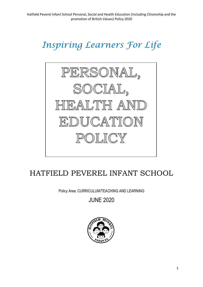# *Inspiring Learners For Life*



## HATFIELD PEVEREL INFANT SCHOOL

Policy Area: CURRICULUM/TEACHING AND LEARNING

JUNE 2020

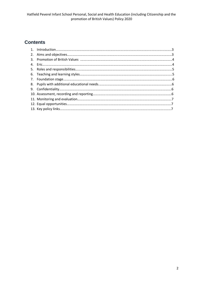### **Contents**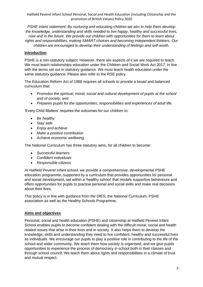*PSHE Intent statement: By nurturing and educating children we aim to help them develop the knowledge, understanding and skills needed to live happy, healthy and successful lives, now and in the future. We provide our children with opportunities for them to learn about rights and responsibilities, making SMART choices and becoming independent thinkers. Our children are encouraged to develop their understanding of feelings and self-worth.*

#### **Introduction**

PSHE is a non-statutory subject. However, there are aspects of it we are required to teach. We must teach relationships education under the Children and Social Work Act 2017, in line with the terms set out in statutory guidance. We must teach health education under the same statutory guidance. Please also refer to the RSE policy.

The Education Reform Act of 1988 requires all schools to provide a broad and balanced curriculum that:

- *Promotes the spiritual, moral, social and cultural development of pupils at the school and of society; and*
- *Prepares pupils for the opportunities, responsibilities and experiences of adult life.*

'Every Child Matters' requires the outcomes for our children to:

- *Be healthy*
- *Stay safe*
- *Enjoy and achieve*
- *Make a positive contribution*
- *Achieve economic wellbeing*

The National Curriculum has three statutory aims, for all children to become:

- *Successful learners*
- *Confident individuals*
- *Responsible citizens*

At Hatfield Peverel Infant school, we provide a comprehensive, developmental PSHE education programme, supported by a curriculum that provides opportunities for personal and social development, set within a 'healthy school' that models supportive behaviours and offers opportunities for pupils to practise personal and social skills and make real decisions about their lives.

This policy is in line with guidance from the DfES, the National Curriculum, PSHE association as well as the Healthy Schools Programme.

#### **Aims and objectives**

Personal, social and health education (PSHE) and citizenship at Hatfield Peverel Infant School enables pupils to become confident dealing with the difficult moral, social and health related issues that arise in their lives and in society. It also helps them to develop the knowledge, skills and understanding they need to live confident, healthy and successful lives as individuals. We encourage our pupils to play a positive role in contributing to the life of the school and wider community. We teach them how society is organised, and we give pupils opportunities to experience the process of democracy in school both in their classes and through school council. We teach them about rights and responsibilities in a climate of trust and mutual respect.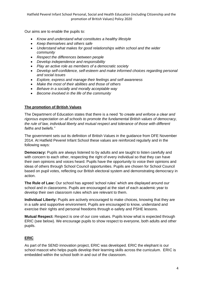Our aims are to enable the pupils to:

- *Know and understand what constitutes a healthy lifestyle*
- *Keep themselves and others safe*
- *Understand what makes for good relationships within school and the wider community*
- *Respect the differences between people*
- *Develop independence and responsibility*
- *Play an active role as members of a democratic society*
- *Develop self-confidence, self-esteem and make informed choices regarding personal and social issues*
- *Explore, express and manage their feelings and self-awareness*
- *Make the most of their abilities and those of others*
- *Behave in a socially and morally acceptable way*
- *Become involved in the life of the community*

#### **The promotion of British Values**

The Department of Education states that there is a need *"to create and enforce a clear and rigorous expectation on all schools to promote the fundamental British values of democracy, the rule of law, individual liberty and mutual respect and tolerance of those with different faiths and beliefs."*

The government sets out its definition of British Values in the guidance from DFE November 2014. At Hatfield Peverel Infant School these values are reinforced regularly and in the following ways:

**Democracy:** Pupils are always listened to by adults and are taught to listen carefully and with concern to each other, respecting the right of every individual so that they can have their own opinions and voices heard. Pupils have the opportunity to voice their opinions and ideas of others through School Council opportunities. Pupils are chosen for School Council based on pupil votes, reflecting our British electoral system and demonstrating democracy in action.

**The Rule of Law:** Our school has agreed 'school rules' which are displayed around our school and in classrooms. Pupils are encouraged at the start of each academic year to develop their own classroom rules which are relevant to them.

**Individual Liberty:** Pupils are actively encouraged to make choices, knowing that they are in a safe and supportive environment. Pupils are encouraged to know, understand and exercise their rights and personal freedoms through e-safety and PSHE lessons.

**Mutual Respect:** Respect is one of our core values. Pupils know what is expected through ERIC (see below). We encourage pupils to show respect to everyone, both adults and other pupils.

#### **ERIC**

As part of the SEND innovation project, ERIC was developed. ERIC the elephant is our school mascot who helps pupils develop their learning skills across the curriculum. ERIC is embedded within the school both in and out of the classroom.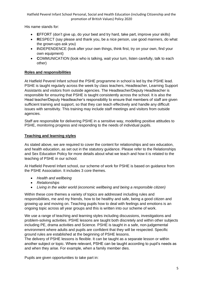His name stands for:

- **E**FFORT (don't give up, do your best and try hard, take part, improve your skills)
- **R**ESPECT (say please and thank you, be a nice person, use good manners, do what the grown-ups ask you)
- **I**NDEPENDENCE (look after your own things, think first, try on your own, find your own equipment)
- **C**OMMUNICATION (look who is talking, wait your turn, listen carefully, talk to each other)

#### **Roles and responsibilities**

At Hatfield Peverel Infant school the PSHE programme in school is led by the PSHE lead. PSHE is taught regularly across the week by class teachers, Headteacher, Learning Support Assistants and visitors from outside agencies. The Headteacher/Deputy Headteacher is responsible for ensuring that PSHE is taught consistently across the school. It is also the Head teacher/Deputy Headteacher's responsibility to ensure that members of staff are given sufficient training and support, so that they can teach effectively and handle any difficult issues with sensitivity. This training may include staff meetings and visitors from outside agencies.

Staff are responsible for delivering PSHE in a sensitive way, modelling positive attitudes to PSHE, monitoring progress and responding to the needs of individual pupils.

#### **Teaching and learning styles**

As stated above, we are required to cover the content for relationships and sex education, and health education, as set out in the statutory guidance. Please refer to the Relationships and Sex Education Policy for more details about what we teach and how it is related to the teaching of PSHE in our school.

At Hatfield Peverel Infant school, our scheme of work for PSHE is based on guidance from the PSHE Association. It includes 3 core themes.

- *Health and wellbeing*
- *Relationships*
- *Living in the wider world (economic wellbeing and being a responsible citizen)*

Within these core themes a variety of topics are addressed including rules and responsibilities, me and my friends, how to be healthy and safe, being a good citizen and growing up and moving on. Teaching pupils how to deal with feelings and emotions is an ongoing topic across all year groups and this is written into our scheme of work.

We use a range of teaching and learning styles including discussions, investigations and problem-solving activities. PSHE lessons are taught both discretely and within other subjects including PE, drama activities and Science. PSHE is taught in a safe, non-judgemental environment where adults and pupils are confident that they will be respected. Specific ground rules are established at the beginning of PSHE lessons.

The delivery of PSHE lessons is flexible. It can be taught as a separate lesson or within another subject or topic. Where relevant, PSHE can be taught according to pupil's needs as and when they arise. For example, when a family member dies.

Pupils are given opportunities to take part in: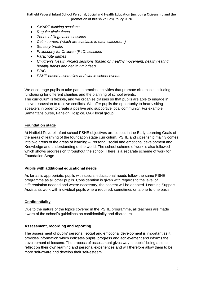- *SMART thinking sessions*
- *Regular circle times*
- *Zones of Regulation sessions*
- *Calm corners (which are available in each classroom)*
- *Sensory breaks*
- *Philosophy for Children (P4C) sessions*
- *Parachute games*
- *Children's Health Project sessions (based on healthy movement, healthy eating, healthy habits and healthy mindset)*
- *ERIC*
- *PSHE based assemblies and whole school events*

We encourage pupils to take part in practical activities that promote citizenship including fundraising for different charities and the planning of school events. The curriculum is flexible, and we organise classes so that pupils are able to engage in active discussion to resolve conflicts. We offer pupils the opportunity to hear visiting speakers in order to create a positive and supportive local community. For example, Samaritans purse, Farleigh Hospice, OAP local group.

#### **Foundation stage**

At Hatfield Peverel Infant school PSHE objectives are set out in the Early Learning Goals of the areas of learning of the foundation stage curriculum. PSHE and citizenship mainly comes into two areas of the areas of learning – Personal, social and emotional development and Knowledge and understanding of the world. The school scheme of work is also followed which shows progression throughout the school. There is a separate scheme of work for Foundation Stage.

#### **Pupils with additional educational needs**

As far as is appropriate, pupils with special educational needs follow the same PSHE programme as all other pupils. Consideration is given with regards to the level of differentiation needed and where necessary, the content will be adapted. Learning Support Assistants work with individual pupils where required, sometimes on a one-to-one basis.

#### **Confidentiality**

Due to the nature of the topics covered in the PSHE programme, all teachers are made aware of the school's guidelines on confidentiality and disclosure.

#### **Assessment, recording and reporting**

The assessment of pupils' personal, social and emotional development is important as it provides information which indicates pupils' progress and achievement and informs the development of lessons. The process of assessment gives way to pupils' being able to reflect on their own learning and personal experiences and will therefore allow them to be more self-aware and develop their self-esteem.